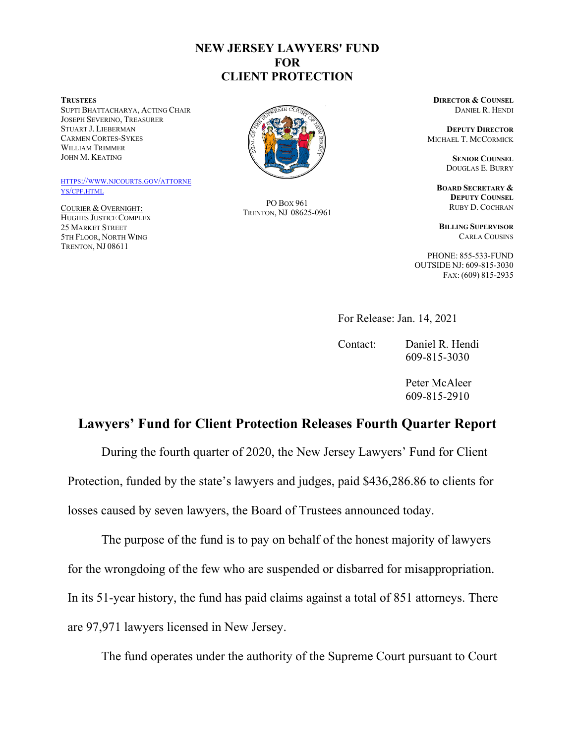## **NEW JERSEY LAWYERS' FUND FOR CLIENT PROTECTION**

## **TRUSTEES**

SUPTI BHATTACHARYA, ACTING CHAIR JOSEPH SEVERINO, TREASURER STUART J. LIEBERMAN CARMEN CORTES-SYKES WILLIAM TRIMMER JOHN M. KEATING

## [HTTPS://WWW.NJCOURTS.GOV/ATTORNE](https://www.njcourts.gov/attorneys/cpf.html) [YS/CPF.HTML](https://www.njcourts.gov/attorneys/cpf.html)

COURIER & OVERNIGHT: HUGHES JUSTICE COMPLEX 25 MARKET STREET 5TH FLOOR, NORTH WING TRENTON, NJ 08611



PO BOX 961 TRENTON, NJ 08625-0961 **DIRECTOR & COUNSEL** DANIEL R. HENDI

**DEPUTY DIRECTOR** MICHAEL T. MCCORMICK

> **SENIOR COUNSEL**  DOUGLAS E. BURRY

**BOARD SECRETARY & DEPUTY COUNSEL** RUBY D. COCHRAN

**BILLING SUPERVISOR**  CARLA COUSINS

PHONE: 855-533-FUND OUTSIDE NJ: 609-815-3030 FAX: (609) 815-2935

For Release: Jan. 14, 2021

Contact: Daniel R. Hendi 609-815-3030

> Peter McAleer 609-815-2910

## **Lawyers' Fund for Client Protection Releases Fourth Quarter Report**

During the fourth quarter of 2020, the New Jersey Lawyers' Fund for Client

Protection, funded by the state's lawyers and judges, paid \$436,286.86 to clients for

losses caused by seven lawyers, the Board of Trustees announced today.

The purpose of the fund is to pay on behalf of the honest majority of lawyers for the wrongdoing of the few who are suspended or disbarred for misappropriation. In its 51-year history, the fund has paid claims against a total of 851 attorneys. There are 97,971 lawyers licensed in New Jersey.

The fund operates under the authority of the Supreme Court pursuant to Court